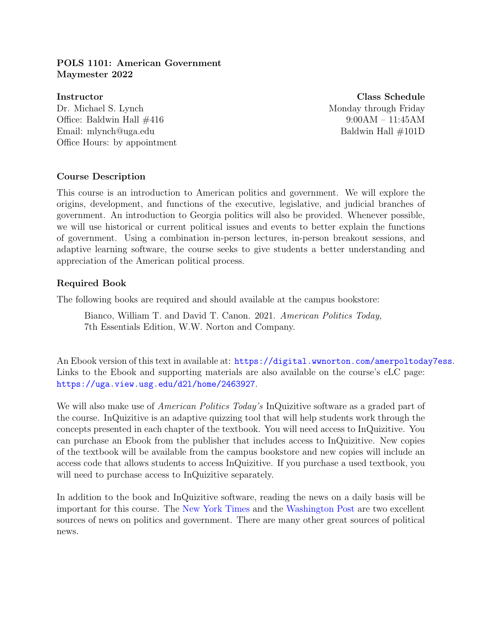# POLS 1101: American Government Maymester 2022

Instructor Class Schedule Dr. Michael S. Lynch Monday through Friday Office: Baldwin Hall  $\#416$  9:00AM – 11:45AM Email: mlynch@uga.edu Baldwin Hall  $\#101D$ Office Hours: by appointment

# Course Description

This course is an introduction to American politics and government. We will explore the origins, development, and functions of the executive, legislative, and judicial branches of government. An introduction to Georgia politics will also be provided. Whenever possible, we will use historical or current political issues and events to better explain the functions of government. Using a combination in-person lectures, in-person breakout sessions, and adaptive learning software, the course seeks to give students a better understanding and appreciation of the American political process.

# Required Book

The following books are required and should available at the campus bookstore:

Bianco, William T. and David T. Canon. 2021. American Politics Today, 7th Essentials Edition, W.W. Norton and Company.

An Ebook version of this text in available at: <https://digital.wwnorton.com/amerpoltoday7ess>. Links to the Ebook and supporting materials are also available on the course's eLC page: <https://uga.view.usg.edu/d2l/home/2463927>.

We will also make use of *American Politics Today's* InQuizitive software as a graded part of the course. InQuizitive is an adaptive quizzing tool that will help students work through the concepts presented in each chapter of the textbook. You will need access to InQuizitive. You can purchase an Ebook from the publisher that includes access to InQuizitive. New copies of the textbook will be available from the campus bookstore and new copies will include an access code that allows students to access InQuizitive. If you purchase a used textbook, you will need to purchase access to InQuizitive separately.

In addition to the book and InQuizitive software, reading the news on a daily basis will be important for this course. The [New York Times](http://www.nytimes.com) and the [Washington Post](http://www.washingtonpost.com) are two excellent sources of news on politics and government. There are many other great sources of political news.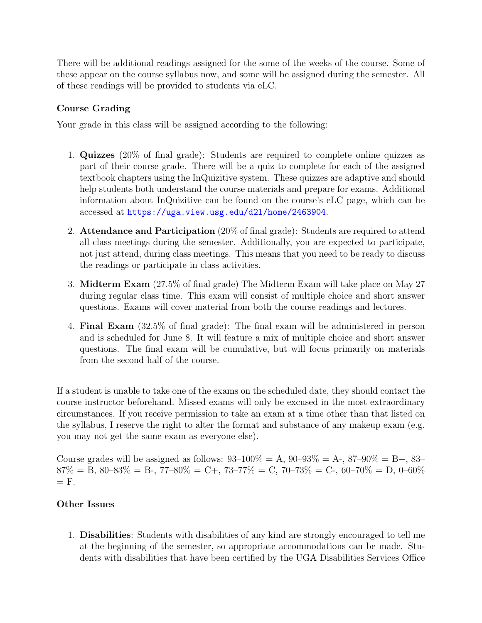There will be additional readings assigned for the some of the weeks of the course. Some of these appear on the course syllabus now, and some will be assigned during the semester. All of these readings will be provided to students via eLC.

# Course Grading

Your grade in this class will be assigned according to the following:

- 1. Quizzes (20% of final grade): Students are required to complete online quizzes as part of their course grade. There will be a quiz to complete for each of the assigned textbook chapters using the InQuizitive system. These quizzes are adaptive and should help students both understand the course materials and prepare for exams. Additional information about InQuizitive can be found on the course's eLC page, which can be accessed at <https://uga.view.usg.edu/d2l/home/2463904>.
- 2. Attendance and Participation (20% of final grade): Students are required to attend all class meetings during the semester. Additionally, you are expected to participate, not just attend, during class meetings. This means that you need to be ready to discuss the readings or participate in class activities.
- 3. Midterm Exam (27.5% of final grade) The Midterm Exam will take place on May 27 during regular class time. This exam will consist of multiple choice and short answer questions. Exams will cover material from both the course readings and lectures.
- 4. Final Exam (32.5% of final grade): The final exam will be administered in person and is scheduled for June 8. It will feature a mix of multiple choice and short answer questions. The final exam will be cumulative, but will focus primarily on materials from the second half of the course.

If a student is unable to take one of the exams on the scheduled date, they should contact the course instructor beforehand. Missed exams will only be excused in the most extraordinary circumstances. If you receive permission to take an exam at a time other than that listed on the syllabus, I reserve the right to alter the format and substance of any makeup exam (e.g. you may not get the same exam as everyone else).

Course grades will be assigned as follows:  $93-100\% = A$ ,  $90-93\% = A$ ,  $87-90\% = B$ ,  $83 87\% = B$ ,  $80-83\% = B$ -,  $77-80\% = C$ +,  $73-77\% = C$ ,  $70-73\% = C$ -,  $60-70\% = D$ ,  $0-60\%$  $=$  F.

# Other Issues

1. Disabilities: Students with disabilities of any kind are strongly encouraged to tell me at the beginning of the semester, so appropriate accommodations can be made. Students with disabilities that have been certified by the UGA Disabilities Services Office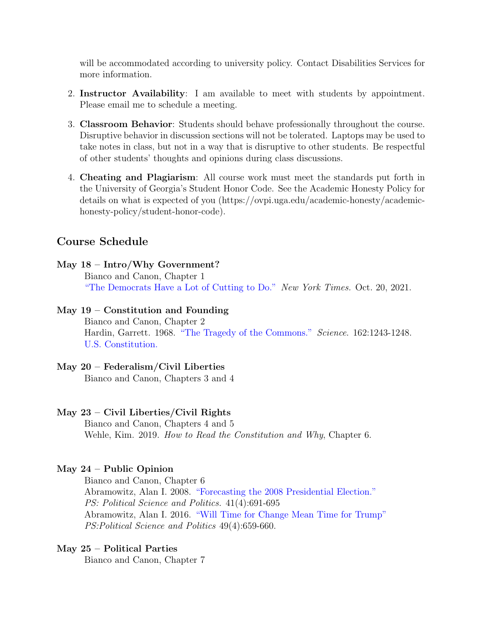will be accommodated according to university policy. Contact Disabilities Services for more information.

- 2. Instructor Availability: I am available to meet with students by appointment. Please email me to schedule a meeting.
- 3. Classroom Behavior: Students should behave professionally throughout the course. Disruptive behavior in discussion sections will not be tolerated. Laptops may be used to take notes in class, but not in a way that is disruptive to other students. Be respectful of other students' thoughts and opinions during class discussions.
- 4. Cheating and Plagiarism: All course work must meet the standards put forth in the University of Georgia's Student Honor Code. See the Academic Honesty Policy for details on what is expected of you (https://ovpi.uga.edu/academic-honesty/academichonesty-policy/student-honor-code).

# Course Schedule

# May 18 – Intro/Why Government? Bianco and Canon, Chapter 1 ["The Democrats Have a Lot of Cutting to Do."](https://nyti.ms/3aWkcOf) New York Times. Oct. 20, 2021.

#### May  $19$  – Constitution and Founding

Bianco and Canon, Chapter 2 Hardin, Garrett. 1968. ["The Tragedy of the Commons."](https://science.sciencemag.org/content/162/3859/1243) Science. 162:1243-1248. [U.S. Constitution.](https://www.archives.gov/founding-docs/constitution-transcript)

#### May 20 – Federalism/Civil Liberties

Bianco and Canon, Chapters 3 and 4

#### May 23 – Civil Liberties/Civil Rights

Bianco and Canon, Chapters 4 and 5 Wehle, Kim. 2019. *How to Read the Constitution and Why*, Chapter 6.

#### May  $24$  – Public Opinion

Bianco and Canon, Chapter 6 Abramowitz, Alan I. 2008. ["Forecasting the 2008 Presidential Election."](https://www.jstor.org/stable/20452296) PS: Political Science and Politics. 41(4):691-695 Abramowitz, Alan I. 2016. ["Will Time for Change Mean Time for Trump"](https://www.cambridge.org/core/services/aop-cambridge-core/content/view/6DC38DD5F6346385A7C72C15EA08CA09/S1049096516001268a.pdf/will_time_for_change_mean_time_for_trump.pdf) PS:Political Science and Politics 49(4):659-660.

#### May 25 – Political Parties

Bianco and Canon, Chapter 7